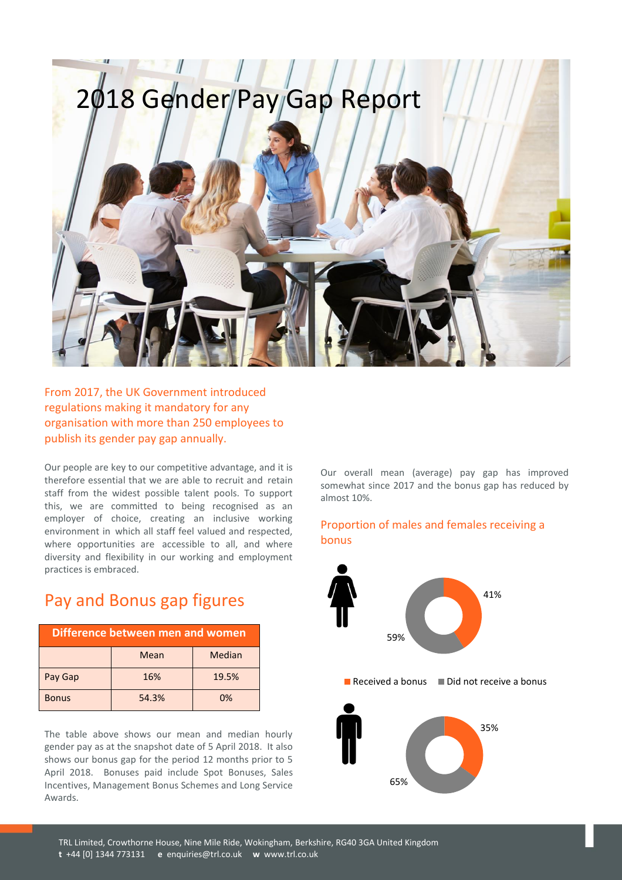# 2018 Gender Pay Gap Report



From 2017, the UK Government introduced regulations making it mandatory for any organisation with more than 250 employees to publish its gender pay gap annually.

Our people are key to our competitive advantage, and it is therefore essential that we are able to recruit and retain staff from the widest possible talent pools. To support this, we are committed to being recognised as an employer of choice, creating an inclusive working environment in which all staff feel valued and respected, where opportunities are accessible to all, and where diversity and flexibility in our working and employment practices is embraced.

## Pay and Bonus gap figures

| Difference between men and women |       |        |
|----------------------------------|-------|--------|
|                                  | Mean  | Median |
| Pay Gap                          | 16%   | 19.5%  |
| <b>Bonus</b>                     | 54.3% | 0%     |

The table above shows our mean and median hourly gender pay as at the snapshot date of 5 April 2018. It also shows our bonus gap for the period 12 months prior to 5 April 2018. Bonuses paid include Spot Bonuses, Sales Incentives, Management Bonus Schemes and Long Service Awards.

Our overall mean (average) pay gap has improved somewhat since 2017 and the bonus gap has reduced by almost 10%.

#### Proportion of males and females receiving a bonus